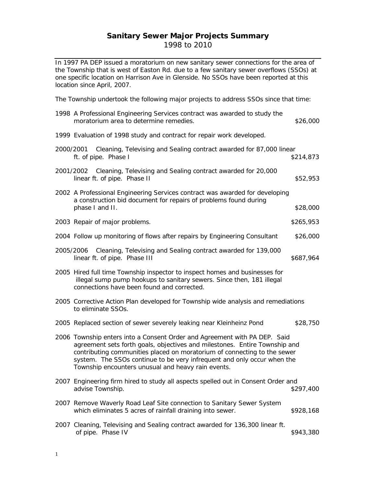## **Sanitary Sewer Major Projects Summary**  1998 to 2010

In 1997 PA DEP issued a moratorium on new sanitary sewer connections for the area of the Township that is west of Easton Rd. due to a few sanitary sewer overflows (SSOs) at one specific location on Harrison Ave in Glenside. No SSOs have been reported at this location since April, 2007.

The Township undertook the following major projects to address SSOs since that time:

| 1998 A Professional Engineering Services contract was awarded to study the<br>moratorium area to determine remedies.                                                                                                                                                                                                                                                 | \$26,000  |
|----------------------------------------------------------------------------------------------------------------------------------------------------------------------------------------------------------------------------------------------------------------------------------------------------------------------------------------------------------------------|-----------|
| 1999 Evaluation of 1998 study and contract for repair work developed.                                                                                                                                                                                                                                                                                                |           |
| Cleaning, Televising and Sealing contract awarded for 87,000 linear<br>2000/2001<br>ft. of pipe. Phase I                                                                                                                                                                                                                                                             | \$214,873 |
| 2001/2002 Cleaning, Televising and Sealing contract awarded for 20,000<br>linear ft. of pipe. Phase II                                                                                                                                                                                                                                                               | \$52,953  |
| 2002 A Professional Engineering Services contract was awarded for developing<br>a construction bid document for repairs of problems found during<br>phase I and II.                                                                                                                                                                                                  | \$28,000  |
| 2003 Repair of major problems.                                                                                                                                                                                                                                                                                                                                       | \$265,953 |
| 2004 Follow up monitoring of flows after repairs by Engineering Consultant                                                                                                                                                                                                                                                                                           | \$26,000  |
| Cleaning, Televising and Sealing contract awarded for 139,000<br>2005/2006<br>linear ft. of pipe. Phase III                                                                                                                                                                                                                                                          | \$687,964 |
| 2005 Hired full time Township inspector to inspect homes and businesses for<br>illegal sump pump hookups to sanitary sewers. Since then, 181 illegal<br>connections have been found and corrected.                                                                                                                                                                   |           |
| 2005 Corrective Action Plan developed for Township wide analysis and remediations<br>to eliminate SSOs.                                                                                                                                                                                                                                                              |           |
| 2005 Replaced section of sewer severely leaking near Kleinheinz Pond                                                                                                                                                                                                                                                                                                 | \$28,750  |
| 2006 Township enters into a Consent Order and Agreement with PA DEP. Said<br>agreement sets forth goals, objectives and milestones. Entire Township and<br>contributing communities placed on moratorium of connecting to the sewer<br>system. The SSOs continue to be very infrequent and only occur when the<br>Township encounters unusual and heavy rain events. |           |
| 2007 Engineering firm hired to study all aspects spelled out in Consent Order and<br>advise Township.                                                                                                                                                                                                                                                                | \$297,400 |
| 2007 Remove Waverly Road Leaf Site connection to Sanitary Sewer System<br>which eliminates 5 acres of rainfall draining into sewer.                                                                                                                                                                                                                                  | \$928,168 |
| 2007 Cleaning, Televising and Sealing contract awarded for 136,300 linear ft.<br>of pipe. Phase IV                                                                                                                                                                                                                                                                   | \$943,380 |